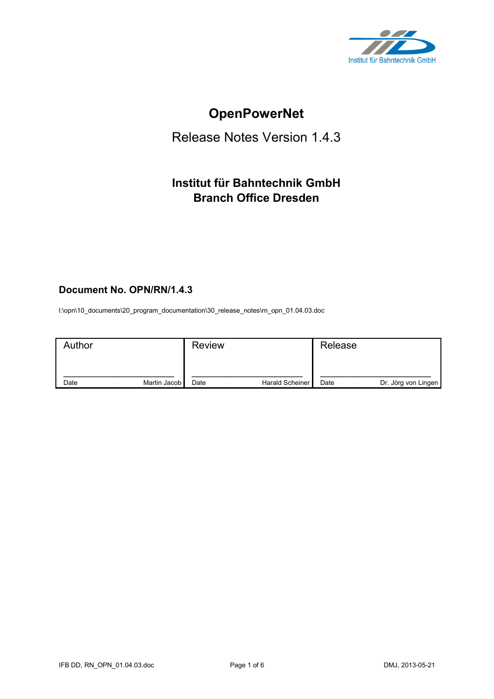

# **OpenPowerNet**

# Release Notes Version 1.4.3

# **Institut für Bahntechnik GmbH Branch Office Dresden**

# **Document No. OPN/RN/1.4.3**

l:\opn\10\_documents\20\_program\_documentation\30\_release\_notes\rn\_opn\_01.04.03.doc

| Author |              | <b>Review</b> |                 | Release |                     |
|--------|--------------|---------------|-----------------|---------|---------------------|
| Date   | Martin Jacob | Date          | Harald Scheiner | Date    | Dr. Jörg von Lingen |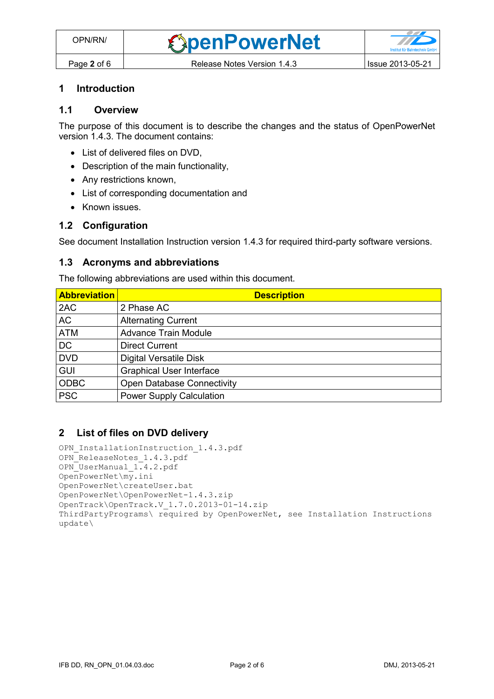#### **1 Introduction**

#### **1.1 Overview**

The purpose of this document is to describe the changes and the status of OpenPowerNet version 1.4.3. The document contains:

- List of delivered files on DVD,
- Description of the main functionality,
- Any restrictions known,
- List of corresponding documentation and
- Known issues.

### **1.2 Configuration**

See document Installation Instruction version 1.4.3 for required third-party software versions.

#### **1.3 Acronyms and abbreviations**

The following abbreviations are used within this document.

| <b>Abbreviation</b> | <b>Description</b>                |
|---------------------|-----------------------------------|
| 2AC                 | 2 Phase AC                        |
| <b>AC</b>           | <b>Alternating Current</b>        |
| <b>ATM</b>          | <b>Advance Train Module</b>       |
| <b>DC</b>           | <b>Direct Current</b>             |
| <b>DVD</b>          | <b>Digital Versatile Disk</b>     |
| <b>GUI</b>          | <b>Graphical User Interface</b>   |
| <b>ODBC</b>         | <b>Open Database Connectivity</b> |
| <b>PSC</b>          | <b>Power Supply Calculation</b>   |

### **2 List of files on DVD delivery**

```
OPN InstallationInstruction 1.4.3.pdf
OPN ReleaseNotes 1.4.3.pdf
OPN_UserManual_1.4.2.pdf
OpenPowerNet\my.ini
OpenPowerNet\createUser.bat
OpenPowerNet\OpenPowerNet-1.4.3.zip
OpenTrack\OpenTrack.V_1.7.0.2013-01-14.zip
ThirdPartyPrograms\ required by OpenPowerNet, see Installation Instructions
update\
```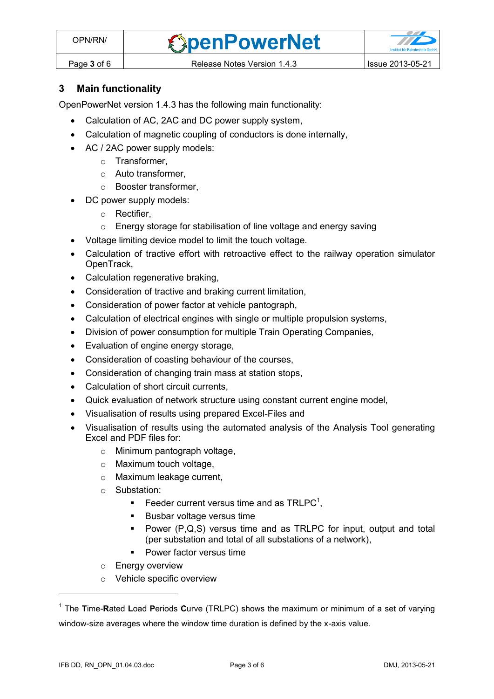

## **3 Main functionality**

OpenPowerNet version 1.4.3 has the following main functionality:

- Calculation of AC, 2AC and DC power supply system,
- Calculation of magnetic coupling of conductors is done internally,
- AC / 2AC power supply models:
	- o Transformer,
	- o Auto transformer,
	- o Booster transformer,
- DC power supply models:
	- o Rectifier,
	- o Energy storage for stabilisation of line voltage and energy saving
- Voltage limiting device model to limit the touch voltage.
- Calculation of tractive effort with retroactive effect to the railway operation simulator OpenTrack,
- Calculation regenerative braking,
- Consideration of tractive and braking current limitation,
- Consideration of power factor at vehicle pantograph,
- Calculation of electrical engines with single or multiple propulsion systems,
- Division of power consumption for multiple Train Operating Companies,
- Evaluation of engine energy storage,
- Consideration of coasting behaviour of the courses,
- Consideration of changing train mass at station stops,
- Calculation of short circuit currents,
- Quick evaluation of network structure using constant current engine model,
- Visualisation of results using prepared Excel-Files and
- Visualisation of results using the automated analysis of the Analysis Tool generating Excel and PDF files for:
	- o Minimum pantograph voltage,
	- o Maximum touch voltage,
	- o Maximum leakage current,
	- o Substation:
		- Feeder current versus time and as  $TRLPC<sup>1</sup>$ ,
		- **Busbar voltage versus time**
		- Power (P,Q,S) versus time and as TRLPC for input, output and total (per substation and total of all substations of a network),
		- Power factor versus time
	- o Energy overview
	- o Vehicle specific overview

 $\overline{a}$ 

<sup>1</sup> The **T**ime-**R**ated **L**oad **P**eriods **C**urve (TRLPC) shows the maximum or minimum of a set of varying window-size averages where the window time duration is defined by the x-axis value.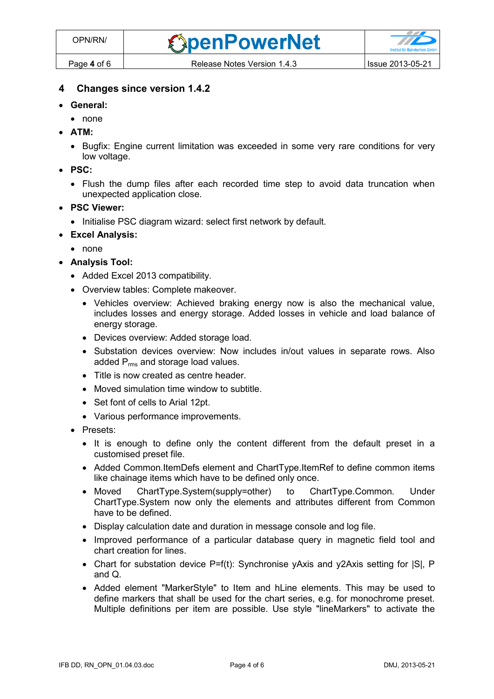- **General:**
	- none
- **ATM:**
	- Bugfix: Engine current limitation was exceeded in some very rare conditions for very low voltage.
- **PSC:**
	- Flush the dump files after each recorded time step to avoid data truncation when unexpected application close.
- **PSC Viewer:**
	- Initialise PSC diagram wizard: select first network by default.
- **Excel Analysis:**
	- none
- **Analysis Tool:**
	- Added Excel 2013 compatibility.
	- Overview tables: Complete makeover.
		- Vehicles overview: Achieved braking energy now is also the mechanical value, includes losses and energy storage. Added losses in vehicle and load balance of energy storage.
		- Devices overview: Added storage load.
		- Substation devices overview: Now includes in/out values in separate rows. Also added P<sub>rms</sub> and storage load values.
		- Title is now created as centre header.
		- Moved simulation time window to subtitle.
		- Set font of cells to Arial 12pt.
		- Various performance improvements.
	- Presets:
		- It is enough to define only the content different from the default preset in a customised preset file.
		- Added Common.ItemDefs element and ChartType.ItemRef to define common items like chainage items which have to be defined only once.
		- Moved ChartType.System(supply=other) to ChartType.Common. Under ChartType.System now only the elements and attributes different from Common have to be defined.
		- Display calculation date and duration in message console and log file.
		- Improved performance of a particular database query in magnetic field tool and chart creation for lines.
		- Chart for substation device  $P=f(t)$ : Synchronise yAxis and y2Axis setting for  $|S|$ , P and Q.
		- Added element "MarkerStyle" to Item and hLine elements. This may be used to define markers that shall be used for the chart series, e.g. for monochrome preset. Multiple definitions per item are possible. Use style "lineMarkers" to activate the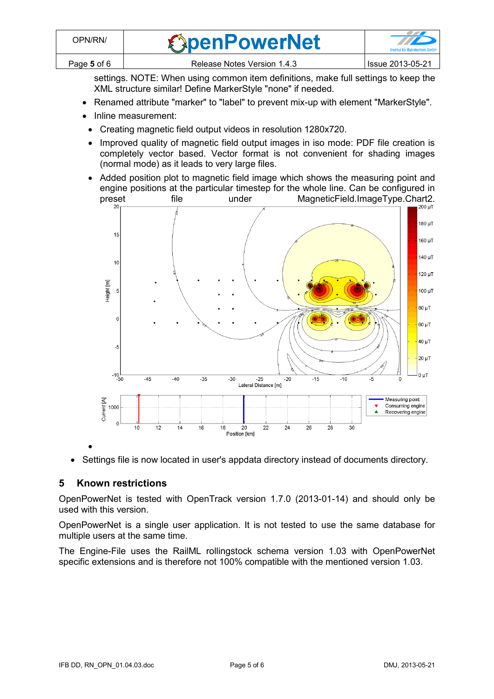settings. NOTE: When using common item definitions, make full settings to keep the XML structure similar! Define MarkerStyle "none" if needed.

- Renamed attribute "marker" to "label" to prevent mix-up with element "MarkerStyle".
- Inline measurement:
- Creating magnetic field output videos in resolution 1280x720.
- Improved quality of magnetic field output images in iso mode: PDF file creation is completely vector based. Vector format is not convenient for shading images (normal mode) as it leads to very large files.
- Added position plot to magnetic field image which shows the measuring point and engine positions at the particular timestep for the whole line. Can be configured in<br>tile under MagneticField.ImageType.Chart2.



• Settings file is now located in user's appdata directory instead of documents directory.

## **5 Known restrictions**

 $\bullet$ 

OpenPowerNet is tested with OpenTrack version 1.7.0 (2013-01-14) and should only be used with this version.

OpenPowerNet is a single user application. It is not tested to use the same database for multiple users at the same time.

The Engine-File uses the RailML rollingstock schema version 1.03 with OpenPowerNet specific extensions and is therefore not 100% compatible with the mentioned version 1.03.